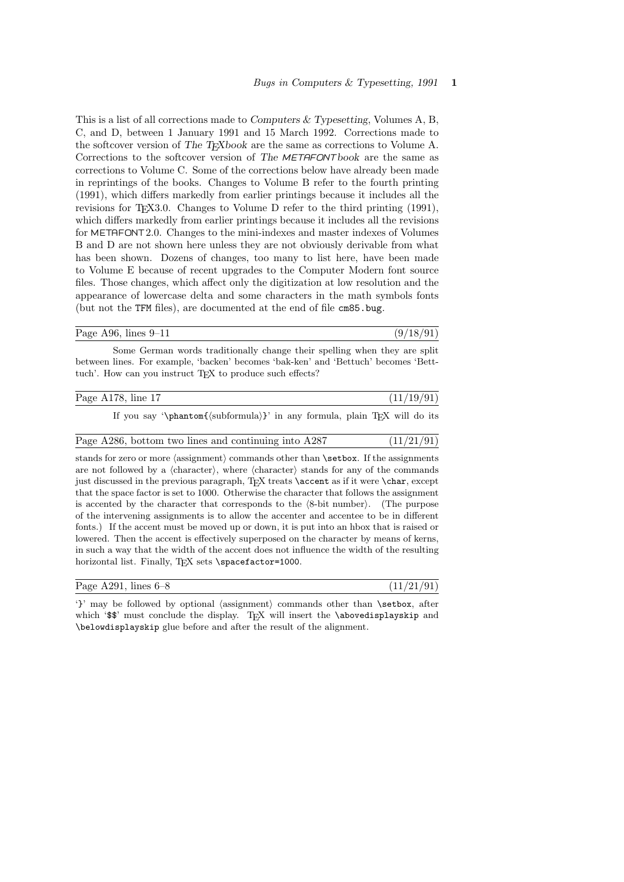This is a list of all corrections made to Computers & Typesetting, Volumes A, B, C, and D, between 1 January 1991 and 15 March 1992. Corrections made to the softcover version of The T<sub>E</sub>Xbook are the same as corrections to Volume A. Corrections to the softcover version of The METAFONTbook are the same as corrections to Volume C. Some of the corrections below have already been made in reprintings of the books. Changes to Volume B refer to the fourth printing (1991), which differs markedly from earlier printings because it includes all the revisions for T<sub>F</sub>X3.0. Changes to Volume D refer to the third printing (1991), which differs markedly from earlier printings because it includes all the revisions for METAFONT2.0. Changes to the mini-indexes and master indexes of Volumes B and D are not shown here unless they are not obviously derivable from what has been shown. Dozens of changes, too many to list here, have been made to Volume E because of recent upgrades to the Computer Modern font source files. Those changes, which affect only the digitization at low resolution and the appearance of lowercase delta and some characters in the math symbols fonts (but not the TFM files), are documented at the end of file cm85.bug.

Page A96, lines  $9-11$  (9/18/91)

Some German words traditionally change their spelling when they are split between lines. For example, 'backen' becomes 'bak-ken' and 'Bettuch' becomes 'Betttuch'. How can you instruct T<sub>EX</sub> to produce such effects?

| Page A178, line 17                                                                                                                                                                                                       | (11/19/91) |
|--------------------------------------------------------------------------------------------------------------------------------------------------------------------------------------------------------------------------|------------|
| If you say '\phantom{(subformula)}' in any formula, plain TFX will do its                                                                                                                                                |            |
| Page A286, bottom two lines and continuing into A287                                                                                                                                                                     | (11/21/91) |
| stands for zero or more (assignment) commands other than <b>\setbox</b> . If the assignments<br>are not followed by a $\langle$ character $\rangle$ , where $\langle$ character $\rangle$ stands for any of the commands |            |

just discussed in the previous paragraph, TEX treats **\accent** as if it were **\char**, except that the space factor is set to 1000. Otherwise the character that follows the assignment is accented by the character that corresponds to the  $\langle 8\text{-bit number}\rangle$ . (The purpose of the intervening assignments is to allow the accenter and accentee to be in different fonts.) If the accent must be moved up or down, it is put into an hbox that is raised or lowered. Then the accent is effectively superposed on the character by means of kerns, in such a way that the width of the accent does not influence the width of the resulting horizontal list. Finally, TEX sets \spacefactor=1000.

| Page A291, lines $6-8$ | (11/21/91) |
|------------------------|------------|
|------------------------|------------|

'}' may be followed by optional  $\langle \text{assignment} \rangle$  commands other than  $\setminus \text{setbox}$ , after which '\$\$' must conclude the display. TEX will insert the \abovedisplayskip and \belowdisplayskip glue before and after the result of the alignment.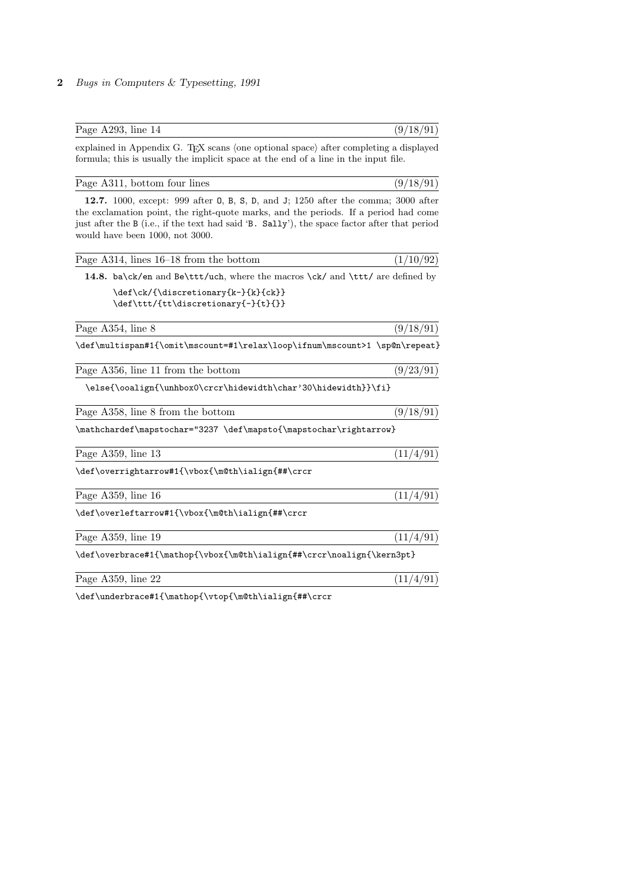| Page A293, line 14                                                                                                                                                                                                                                                                                          | (9/18/91) |
|-------------------------------------------------------------------------------------------------------------------------------------------------------------------------------------------------------------------------------------------------------------------------------------------------------------|-----------|
| explained in Appendix G. TEX scans (one optional space) after completing a displayed<br>formula; this is usually the implicit space at the end of a line in the input file.                                                                                                                                 |           |
| Page A311, bottom four lines                                                                                                                                                                                                                                                                                | (9/18/91) |
| 12.7. 1000, except: 999 after 0, B, S, D, and J; 1250 after the comma; 3000 after<br>the exclamation point, the right-quote marks, and the periods. If a period had come<br>just after the B (i.e., if the text had said 'B. Sally'), the space factor after that period<br>would have been 1000, not 3000. |           |
| Page $A314$ , lines $16-18$ from the bottom                                                                                                                                                                                                                                                                 | (1/10/92) |
| 14.8. ba\ck/en and Be\ttt/uch, where the macros \ck/ and \ttt/ are defined by                                                                                                                                                                                                                               |           |
| \def\ck/{\discretionary{k-}{k}{ck}}<br>\def\ttt/{tt\discretionary{-}{t}{}}                                                                                                                                                                                                                                  |           |
| Page A354, line 8                                                                                                                                                                                                                                                                                           | (9/18/91) |
| \def\multispan#1{\omit\mscount=#1\relax\loop\ifnum\mscount>1 \sp@n\repeat}                                                                                                                                                                                                                                  |           |
| Page A356, line 11 from the bottom                                                                                                                                                                                                                                                                          | (9/23/91) |
| \else{\ooalign{\unhbox0\crcr\hidewidth\char'30\hidewidth}}\fi}                                                                                                                                                                                                                                              |           |
| Page A358, line 8 from the bottom                                                                                                                                                                                                                                                                           | (9/18/91) |
| \mathchardef\mapstochar="3237 \def\mapsto{\mapstochar\rightarrow}                                                                                                                                                                                                                                           |           |
| Page A359, line 13                                                                                                                                                                                                                                                                                          | (11/4/91) |
| \def\overrightarrow#1{\vbox{\m@th\ialign{##\crcr                                                                                                                                                                                                                                                            |           |
| Page A359, line 16                                                                                                                                                                                                                                                                                          | (11/4/91) |
| \def\overleftarrow#1{\vbox{\m@th\ialign{##\crcr                                                                                                                                                                                                                                                             |           |
| Page A359, line 19                                                                                                                                                                                                                                                                                          | (11/4/91) |
| \def\overbrace#1{\mathop{\vbox{\m@th\ialign{##\crcr\noalign{\kern3pt}                                                                                                                                                                                                                                       |           |
| Page A359, line 22                                                                                                                                                                                                                                                                                          | (11/4/91) |
|                                                                                                                                                                                                                                                                                                             |           |

 $\label{th:main} $$\def\underset{\mathbb{\vtop}{{\mathbb{a}}\in \mathbb{H}}$$$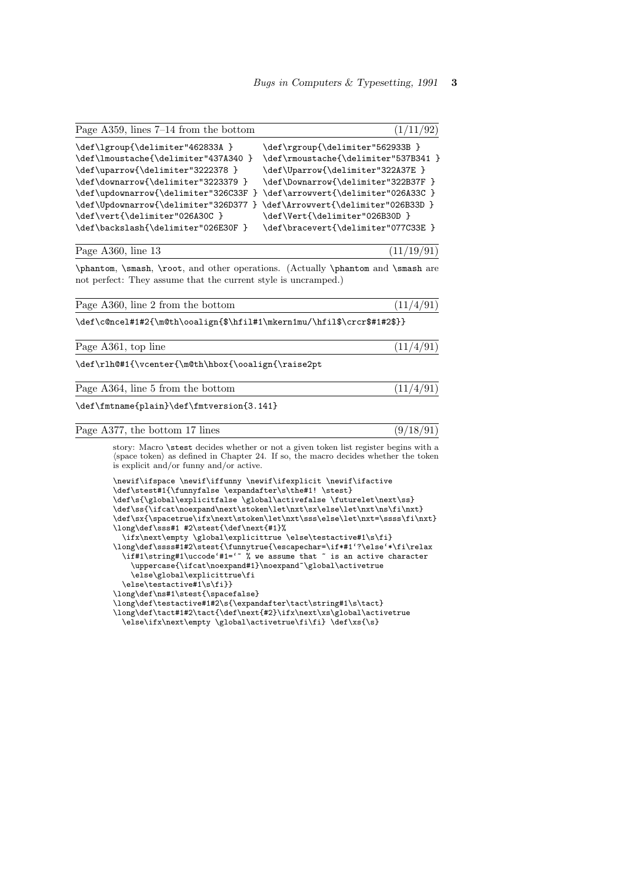$(11/19/91)$ 

| Page A359, lines $7-14$ from the bottom                                                                                                                                                                                                                                  |                                                                                                                                                                                                                                                                      |
|--------------------------------------------------------------------------------------------------------------------------------------------------------------------------------------------------------------------------------------------------------------------------|----------------------------------------------------------------------------------------------------------------------------------------------------------------------------------------------------------------------------------------------------------------------|
| \def\lgroup{\delimiter"462833A }<br>\def\lmoustache{\delimiter"437A340 }<br>\def\uparrow{\delimiter"3222378 }<br>\def\downarrow{\delimiter"3223379 }<br>\def\updownarrow{\delimiter"326C33F }<br>\def\Updownarrow{\delimiter"326D377 }<br>\def\vert{\delimiter"026A30C } | \def\rgroup{\delimiter"562933B }<br>\def\rmoustache{\delimiter"537B341 }<br>\def\Uparrow{\delimiter"322A37E }<br>\def\Downarrow{\delimiter"322B37F }<br>\def\arrowvert{\delimiter"026A33C }<br>\def\Arrowvert{\delimiter"026B33D }<br>\def\Vert{\delimiter"026B30D } |
| \def\backslash{\delimiter"026E30F }                                                                                                                                                                                                                                      | \def\bracevert{\delimiter"077C33E }                                                                                                                                                                                                                                  |

| Page A360, line 13 |  |
|--------------------|--|
|--------------------|--|

\phantom, \smash, \root, and other operations. (Actually \phantom and \smash are not perfect: They assume that the current style is uncramped.)

| (11/4/91)<br>Page A360, line 2 from the bottom |  |  |  |  |
|------------------------------------------------|--|--|--|--|
|------------------------------------------------|--|--|--|--|

\def\c@ncel#1#2{\m@th\ooalign{\$\hfil#1\mkern1mu/\hfil\$\crcr\$#1#2\$}}

Page A361, top line  $(11/4/91)$ 

\def\rlh@#1{\vcenter{\m@th\hbox{\ooalign{\raise2pt

Page A364, line 5 from the bottom  $(11/4/91)$ 

\def\fmtname{plain}\def\fmtversion{3.141}

|  |  |  | Page A377, the bottom 17 lines |  |  |  | (9/18/91) |  |
|--|--|--|--------------------------------|--|--|--|-----------|--|
|--|--|--|--------------------------------|--|--|--|-----------|--|

story: Macro \stest decides whether or not a given token list register begins with a  $\langle {\rm space \,\, token} \rangle$  as defined in Chapter 24. If so, the macro decides whether the token is explicit and/or funny and/or active.

\newif\ifspace \newif\iffunny \newif\ifexplicit \newif\ifactive \def\stest#1{\funnyfalse \expandafter\s\the#1! \stest} \def\s{\global\explicitfalse \global\activefalse \futurelet\next\ss} \def\ss{\ifcat\noexpand\next\stoken\let\nxt\sx\else\let\nxt\ns\fi\nxt}  $\label{thm:main} $$\def\s{}\spacetrue\if x\nnext\stoken\let\nxs\le\le\let\nt=\\ss\nfi\nxt\; $$$ \long\def\sss#1 #2\stest{\def\next{#1}% \ifx\next\empty \global\explicittrue \else\testactive#1\s\fi} \long\def\ssss#1#2\stest{\funnytrue{\escapechar=\if\*#1'?\else'\*\fi\relax \if#1\string#1\uccode'#1='~ % we assume that ~ is an active character \uppercase{\ifcat\noexpand#1}\noexpand~\global\activetrue \else\global\explicittrue\fi \else\testactive#1\s\fi}} \long\def\ns#1\stest{\spacefalse} \long\def\testactive#1#2\s{\expandafter\tact\string#1\s\tact} \long\def\tact#1#2\tact{\def\next{#2}\ifx\next\xs\global\activetrue \else\ifx\next\empty \global\activetrue\fi\fi} \def\xs{\s}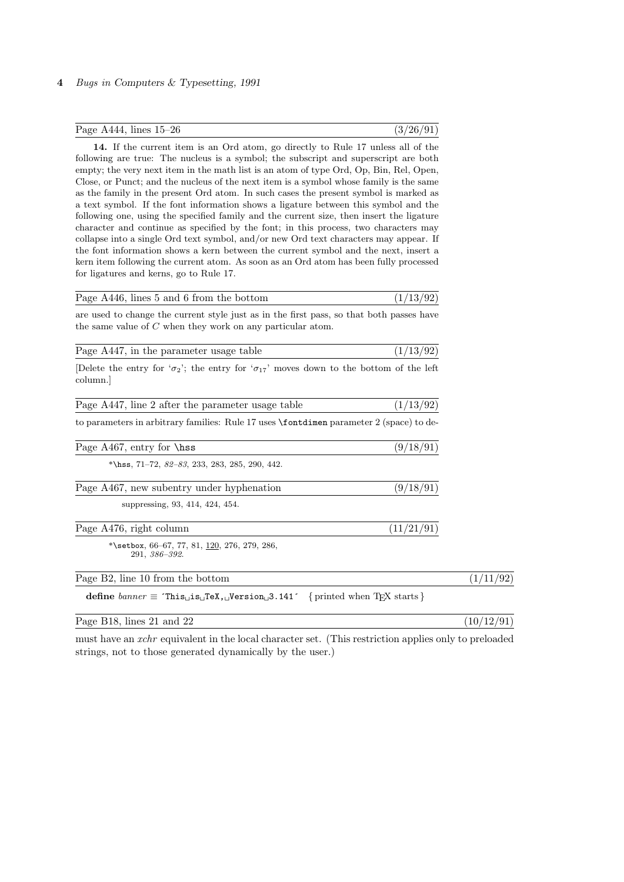| Page A444, lines $15-26$ | (3/26/91) |
|--------------------------|-----------|
|--------------------------|-----------|

14. If the current item is an Ord atom, go directly to Rule 17 unless all of the following are true: The nucleus is a symbol; the subscript and superscript are both empty; the very next item in the math list is an atom of type Ord, Op, Bin, Rel, Open, Close, or Punct; and the nucleus of the next item is a symbol whose family is the same as the family in the present Ord atom. In such cases the present symbol is marked as a text symbol. If the font information shows a ligature between this symbol and the following one, using the specified family and the current size, then insert the ligature character and continue as specified by the font; in this process, two characters may collapse into a single Ord text symbol, and/or new Ord text characters may appear. If the font information shows a kern between the current symbol and the next, insert a kern item following the current atom. As soon as an Ord atom has been fully processed for ligatures and kerns, go to Rule 17.

| Page A446, lines 5 and 6 from the bottom |  | (1/13/92) |  |
|------------------------------------------|--|-----------|--|
|------------------------------------------|--|-----------|--|

are used to change the current style just as in the first pass, so that both passes have the same value of C when they work on any particular atom.

| Page A447, in the parameter usage table |  | (1/13/92) |
|-----------------------------------------|--|-----------|
|-----------------------------------------|--|-----------|

[Delete the entry for ' $\sigma_2$ '; the entry for ' $\sigma_{17}$ ' moves down to the bottom of the left column.]

| Page A447, line 2 after the parameter usage table                                                                                                   | (1/13/92)  |                |
|-----------------------------------------------------------------------------------------------------------------------------------------------------|------------|----------------|
| to parameters in arbitrary families: Rule 17 uses <b>\fontdimen</b> parameter 2 (space) to de-                                                      |            |                |
| Page $A467$ , entry for $\text{hss}$                                                                                                                | (9/18/91)  |                |
| *\hss, $71-72$ , $82-83$ , 233, 283, 285, 290, 442.                                                                                                 |            |                |
| Page A467, new subentry under hyphenation                                                                                                           | (9/18/91)  |                |
| suppressing, 93, 414, 424, 454.                                                                                                                     |            |                |
| Page A476, right column                                                                                                                             | (11/21/91) |                |
| *\setbox, $66-67$ , $77$ , $81$ , $120$ , $276$ , $279$ , $286$ ,<br>291, 386-392.                                                                  |            |                |
| Page B2, line 10 from the bottom                                                                                                                    |            | /92)<br>(1/11) |
| define $banner \equiv$ This <sub>1</sub> , is <sub>1</sub> , TeX <sub>1</sub> , Version <sub>1</sub> , 3.141 {printed when T <sub>F</sub> X starts} |            |                |

Page B18, lines 21 and 22 (10/12/91)

must have an xchr equivalent in the local character set. (This restriction applies only to preloaded strings, not to those generated dynamically by the user.)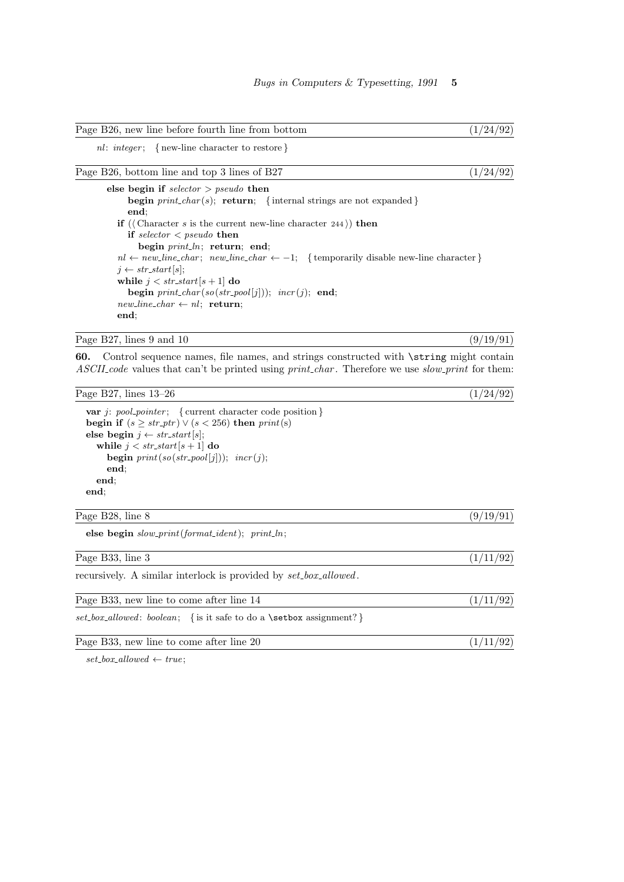| Page B26, new line before fourth line from bottom | (1/24/92) |  |  |  |  |  |
|---------------------------------------------------|-----------|--|--|--|--|--|
|---------------------------------------------------|-----------|--|--|--|--|--|

nl: integer; { new-line character to restore }

| (1/24/92)<br>Page B26, bottom line and top 3 lines of B27 |  |  |  |
|-----------------------------------------------------------|--|--|--|
|-----------------------------------------------------------|--|--|--|

else begin if  $\text{selector} > \text{pseudo}$  then begin  $print\_char(s)$ ; return; { internal strings are not expanded } end; if ( $\langle$  Character s is the current new-line character 244 $\rangle$ ) then if  $selector < pseudo$  then begin  $print\_ln$ ; return; end; nl ← new\_line\_char; new\_line\_char ← -1; { temporarily disable new-line character }  $j \leftarrow str\_start[s];$ while  $j < str\_start[s + 1]$  do begin  $print\_char(so(str\_pool[j]))$ ;  $incr(j)$ ; end;  $new\_line\_char \leftarrow nl;$  return; end;

Page B27, lines 9 and 10  $(9/19/91)$ 

60. Control sequence names, file names, and strings constructed with \string might contain ASCII code values that can't be printed using *print* char. Therefore we use slow print for them:

Page B27, lines  $13-26$  (1/24/92)

```
var j: pool pointer; { current character code position }
begin if (s > str\_ptr) \vee (s < 256) then print(s)else begin j \leftarrow str\_start[s];
  while j < str\_start[s + 1] do
     begin print(so(str\_pool[j])); incr(j);
     end;
  end;
end;
```
Page B28, line 8  $(9/19/91)$ 

else begin  $slow\_print(format\_ident); print\_ln;$ 

Page B33, line 3 (1/11/92) recursively. A similar interlock is provided by  $set\_box\_allowed$ . Page B33, new line to come after line  $14$  ( $1/11/92$ )  $set\_box\_allowed: boolean; \{ is it safe to do a \setminus set\_box assignment? \}$ 

Page B33, new line to come after line 20  $(1/11/92)$ 

 $set\_box\_allowed \leftarrow true;$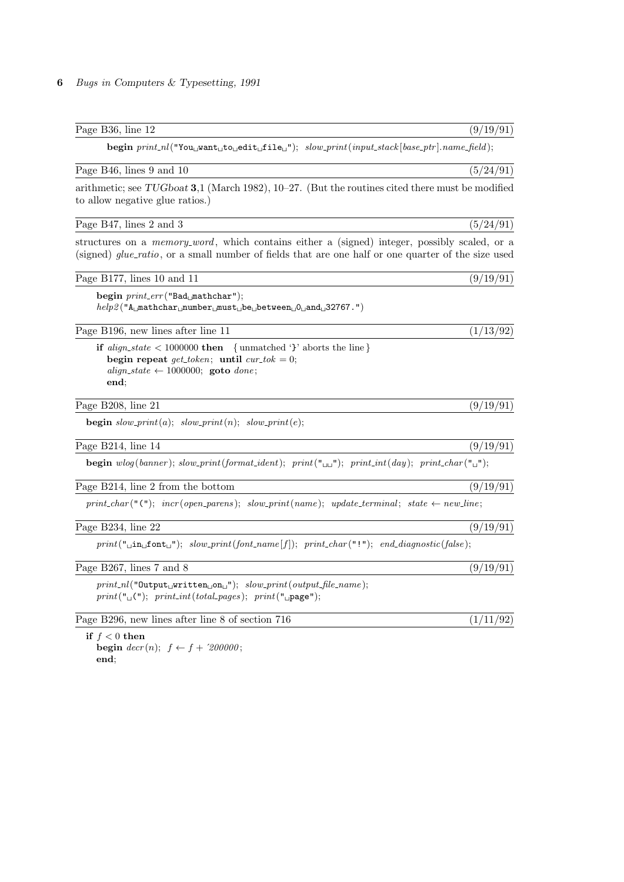| begin $print_n($ "You <sub>u</sub> want <sub>u</sub> to <sub>u</sub> edit <sub>u</sub> file <sub>u</sub> "); $slow\_print(input\_stack base\_ptr]$ .name_field);                                                   |           |
|--------------------------------------------------------------------------------------------------------------------------------------------------------------------------------------------------------------------|-----------|
| Page B46, lines 9 and 10                                                                                                                                                                                           | (5/24/91) |
| arithmetic; see TUGboat 3,1 (March 1982), $10-27$ . (But the routines cited there must be modified<br>to allow negative glue ratios.)                                                                              |           |
| Page B47, lines 2 and 3                                                                                                                                                                                            | (5/24/91) |
| structures on a <i>memory_word</i> , which contains either a (signed) integer, possibly scaled, or a<br>(signed) <i>glue_ratio</i> , or a small number of fields that are one half or one quarter of the size used |           |
| Page B177, lines 10 and 11                                                                                                                                                                                         | (9/19/91) |
| begin print_err("Bad_mathchar");<br>$help2("AUmathcharUnumberUmustUbeUbetweenU0UandU32767.")$                                                                                                                      |           |
| Page B196, new lines after line 11                                                                                                                                                                                 | (1/13/92) |
| <b>if</b> align_state $\langle 1000000 \text{ then } \{$ unmatched '}' aborts the line }<br>begin repeat get_token; until cur_tok = 0;<br>align_state $\leftarrow$ 1000000; goto done;<br>end;                     |           |
| Page B208, line 21                                                                                                                                                                                                 | (9/19/91) |
| <b>begin</b> $slow\_print(a);$ $slow\_print(n);$ $slow\_print(e);$                                                                                                                                                 |           |
| Page B214, line 14                                                                                                                                                                                                 | (9/19/91) |
| <b>begin</b> wlog(banner); slow_print(format_ident); print("\mum"); print_int(day); print_char("\mum");                                                                                                            |           |
| Page B214, line 2 from the bottom                                                                                                                                                                                  | (9/19/91) |
| $print\_char("("");\;incr(open\_parents); \; slow\_print(name); \; update\_terminal; \; state \leftarrow new\_line;$                                                                                               |           |
| Page B234, line 22                                                                                                                                                                                                 | (9/19/91) |
| $print("$ $\text{min\_font\_"'}$ ; slow_print(font_name[f]); print_char("!"); end_diagnostic(false);                                                                                                               |           |
| Page B267, lines 7 and 8                                                                                                                                                                                           | (9/19/91) |
| $print_n$ l("Output <sub>L</sub> written <sub>Ll</sub> on <sub>L</sub> "); $slow\_print(output\_file\_name)$ ;<br>$print("_u("))$ ; $print(int(total_pages); print("_page");$                                      |           |
| Page B296, new lines after line 8 of section 716                                                                                                                                                                   | (1/11/92) |
| if $f < 0$ then                                                                                                                                                                                                    |           |

begin  $decr(n);$   $f \leftarrow f + 2000000;$ end;

Page B36, line 12 (9/19/91)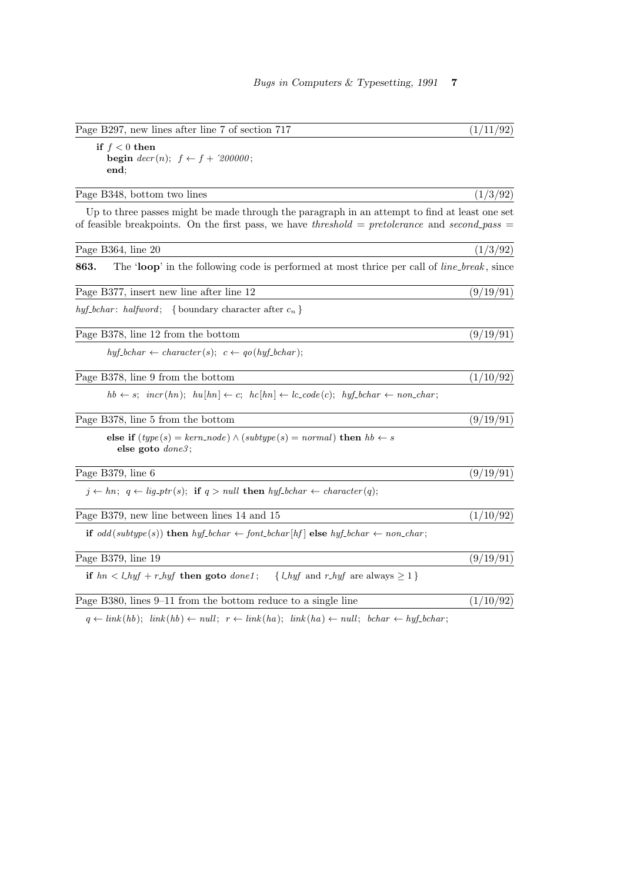| Page B297, new lines after line 7 of section 717                                                                                                                                                | (1/11/92) |
|-------------------------------------------------------------------------------------------------------------------------------------------------------------------------------------------------|-----------|
| if $f < 0$ then<br><b>begin</b> $decr(n);$ $f \leftarrow f + 200000;$<br>end;                                                                                                                   |           |
| Page B348, bottom two lines                                                                                                                                                                     | (1/3/92)  |
| Up to three passes might be made through the paragraph in an attempt to find at least one set<br>of feasible breakpoints. On the first pass, we have threshold = pretolerance and second-pass = |           |
| Page B364, line 20                                                                                                                                                                              | (1/3/92)  |
| The 'loop' in the following code is performed at most thrice per call of <i>line_break</i> , since<br>863.                                                                                      |           |
| Page B377, insert new line after line 12                                                                                                                                                        | (9/19/91) |
| hyf-bchar: halfword; {boundary character after $c_n$ }                                                                                                                                          |           |
| Page B378, line 12 from the bottom                                                                                                                                                              | (9/19/91) |
| $h y f_{\text{b}} \text{c} h a r \leftarrow \text{character}(s); \ \ c \leftarrow \text{q} \text{o} (\text{h} \text{y} \text{f}_{\text{b}} \text{c} \text{h} \text{a} r);$                      |           |
| Page B378, line 9 from the bottom                                                                                                                                                               | (1/10/92) |
| $hb \leftarrow s; \; \; \textit{incr}(hn); \; \; hu[hn] \leftarrow c; \; \; hc[hn] \leftarrow lc\_code(c); \; \; hyf\_bchar \leftarrow non\_char;$                                              |           |
| Page B378, line 5 from the bottom                                                                                                                                                               | (9/19/91) |
| else if $(type(s) = kern-node) \wedge (subtype(s) = normal)$ then $hb \leftarrow s$<br>else goto $done3$ ;                                                                                      |           |
| Page B379, line 6                                                                                                                                                                               | (9/19/91) |
| $j \leftarrow hn; q \leftarrow lig\_ptr(s);$ if $q > null$ then $hyf\_bchar \leftarrow character(q);$                                                                                           |           |
| Page B379, new line between lines 14 and 15                                                                                                                                                     | (1/10/92) |
| if $odd(subtype(s))$ then $hyf\text{-}bchar \leftarrow font\text{-}bchar[hf]$ else $hyf\text{-}bchar \leftarrow non\text{-}char;$                                                               |           |
| Page B379, line 19                                                                                                                                                                              | (9/19/91) |
| if $hn < l_h yf + r_h yf$ then goto $donel$ ;<br>{ <i>l_hyf</i> and <i>r_hyf</i> are always $\geq 1$ }                                                                                          |           |
| Page B380, lines $9-11$ from the bottom reduce to a single line                                                                                                                                 | (1/10/92) |
|                                                                                                                                                                                                 |           |

 $q \leftarrow link(hb); \quad link(hb) \leftarrow null; \quad r \leftarrow link(ha); \quad link(ha) \leftarrow null; \quad bchar \leftarrow hyf\_{}bchar;$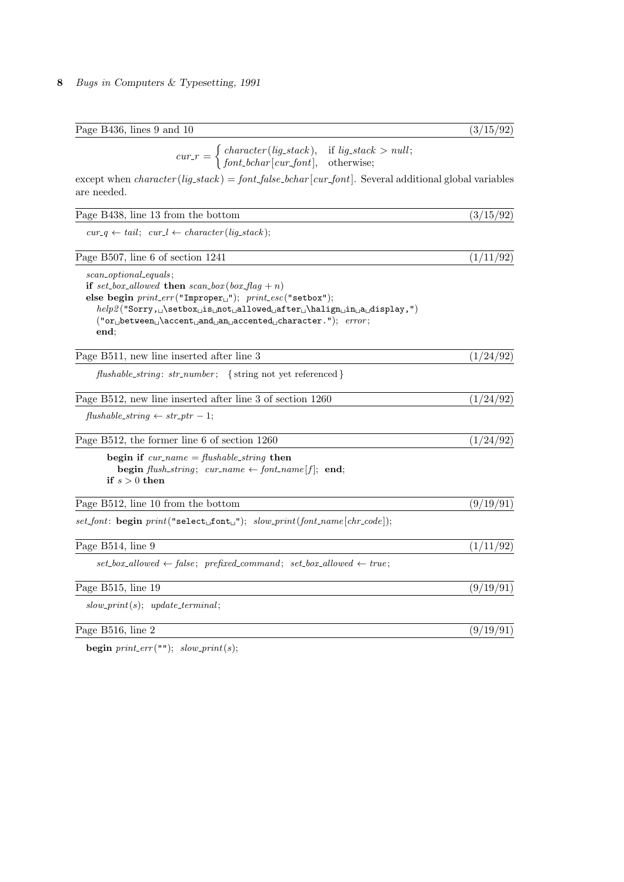| Page B436, lines 9 and 10 | (3/15/92) |
|---------------------------|-----------|
|                           |           |

 $cur_r = \begin{cases} character(lig\_stack), & \text{if } lig\_stack > null; \\ \text{for } t \text{ belongs to } s \text{ and } \text{otherwise.} \end{cases}$  $font\_behavior[cur\_font], \text{ otherwise};$ 

except when  $character(lig\_stack) = font\_false\_bchar[cur\_font]$ . Several additional global variables are needed.

| Page B438, line 13 from the bottom                                 | (3/15/92) |
|--------------------------------------------------------------------|-----------|
| $cur_q \leftarrow tail; \ cur_l \leftarrow character(lig\_stack);$ |           |

Page B507, line 6 of section 1241  $(1/11/92)$ 

scan\_optional\_equals;

if set\_box\_allowed then  $scan\_box(box\_flag + n)$ else begin  $print_error("Improper<sub>u</sub>");$   $print\_esc("setbox");$  $help2("Sarry, \cup \setlength{\smallsetminus} a\_ \setlength{\smallsetminus} a\_ \setlength{\smallsetminus} a\_ \setlength{\smallsetminus} a\_ \setlength{\smallsetminus} a\_ \setlength{\smallsetminus} a\_ \setlength{\smallsetminus} a\_ \setlength{\smallsetminus} a\_ \setlength{\smallsetminus} a\_ \setlength{\smallsetminus} a\_ \setlength{\smallsetminus} a\_ \setlength{\smallsetminus} a\_ \setlength{\smallsetminus} a\_ \setlength{\smallsetminus} a\_ \setlength{\smallsetminus} a\_ \setlength{\smallsetminus} a\_ \setlength{\smallsetminus} a\_ \setlength{\smallsetminus} a\_ \setlength{\smallsetminus} a\_ \setlength{\smallsetminus} a\_ \setlength{\smallsetminus} a\_ \set$  $("or<sub>u</sub> between<sub>u</sub>\accent<sub>u</sub> and <sub>u</sub> arecented<sub>u</sub> character."); error;$ end;

Page B511, new line inserted after line 3  $(1/24/92)$ 

 $flushable\_string: str_number; \{ string not yet referenced\}$ 

| Page B512, new line inserted after line 3 of section 1260 | (1/24/92) |
|-----------------------------------------------------------|-----------|
|                                                           |           |

 $fushable\_string \leftarrow str\_ptr-1;$ 

Page B512, the former line 6 of section 1260  $(1/24/92)$ 

begin if  $cur_name = flushable\_string$  then begin flush\_string;  $cur_name \leftarrow font_name[f];$  end; if  $s > 0$  then

Page B512, line 10 from the bottom (9/19/91)

 $setfont: begin \ print("select\_\font{font...}\"); \ slow\_\nprint(font_name[chr\_code]);$ 

| Page B514, line 9                                                                          | (1/11/92) |
|--------------------------------------------------------------------------------------------|-----------|
| $set\_box\_allowed \leftarrow false;$ prefixed_command; set_box_allowed $\leftarrow true;$ |           |
| Page B515, line 19                                                                         | (9/19/91) |
| $slow\text{-}print(s); \text{ update\_terminal};$                                          |           |
| Page B516, line 2                                                                          | (9/19/91) |

begin  $print_error("")$ ; slow\_print(s);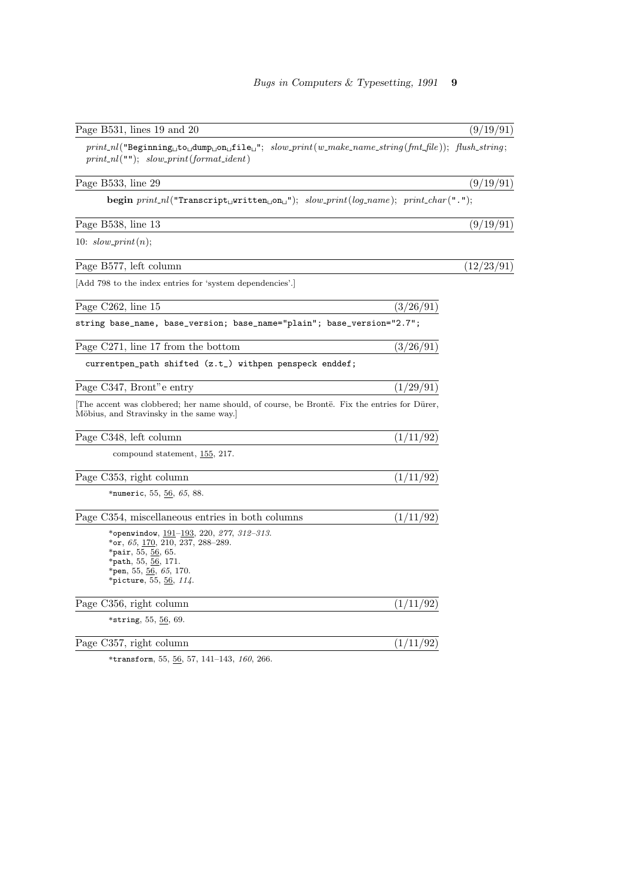| Page B531, lines 19 and 20                                                                                                                                                                                   | (9/19/91)  |
|--------------------------------------------------------------------------------------------------------------------------------------------------------------------------------------------------------------|------------|
| $print\_nl$ ("Beginning $_{\sqcup}$ to $_{\sqcup}$ dump $_{\sqcup}$ on $_{\sqcup}$ file $_{\sqcup}$ "; slow_print(w_make_name_string(fmt_file)); flush_string;<br>$print\_nl("")$ ; slow_print(format_ident) |            |
| Page B533, line 29                                                                                                                                                                                           | (9/19/91)  |
| begin $print_n($ "Transcript <sub>u</sub> written <sub>u</sub> on <sub>u</sub> "); $slow\_print(log_name)$ ; $print\_char(" . ");$                                                                           |            |
| Page B538, line 13                                                                                                                                                                                           | (9/19/91)  |
| 10: $slow\text{-}print(n);$                                                                                                                                                                                  |            |
| Page B577, left column                                                                                                                                                                                       | (12/23/91) |
| [Add 798 to the index entries for 'system dependencies'.]                                                                                                                                                    |            |
| Page C262, line 15                                                                                                                                                                                           | (3/26/91)  |
| string base_name, base_version; base_name="plain"; base_version="2.7";                                                                                                                                       |            |
| Page C271, line 17 from the bottom                                                                                                                                                                           | (3/26/91)  |
| currentpen_path shifted (z.t_) withpen penspeck enddef;                                                                                                                                                      |            |
| Page C347, Bront" e entry                                                                                                                                                                                    | (1/29/91)  |
| The accent was clobbered; her name should, of course, be Brontë. Fix the entries for Dürer,<br>Möbius, and Stravinsky in the same way.]                                                                      |            |
| Page C348, left column                                                                                                                                                                                       | (1/11/92)  |
| compound statement, 155, 217.                                                                                                                                                                                |            |
| Page C353, right column                                                                                                                                                                                      | (1/11/92)  |
| *numeric, 55, 56, 65, 88.                                                                                                                                                                                    |            |
| Page C354, miscellaneous entries in both columns                                                                                                                                                             | (1/11/92)  |
| *openwindow, $191-193$ , 220, 277, 312-313.<br>*or, 65, $\overline{170}$ , 210, 237, 288–289.<br>*pair, $55, 56, 65$ .<br>*path, 55, 56, 171.<br>*pen, 55, 56, 65, 170.<br>*picture, 55, 56, $114$ .         |            |
| Page C356, right column                                                                                                                                                                                      | (1/11/92)  |
| *string, $55, 56, 69$ .                                                                                                                                                                                      |            |
| Page C357, right column                                                                                                                                                                                      | (1/11/92)  |
| *transform, 55, 56, 57, 141-143, 160, 266.                                                                                                                                                                   |            |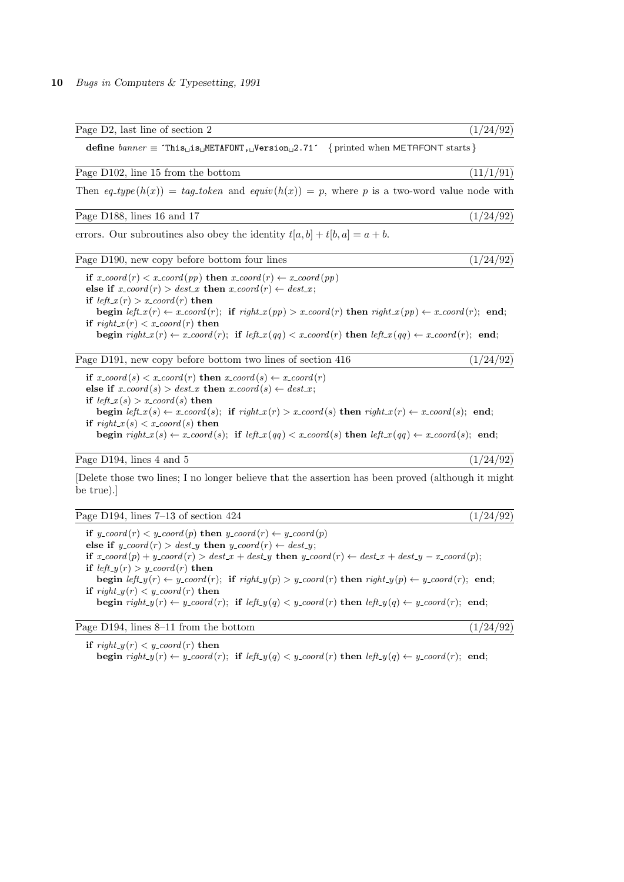Page D2, last line of section 2  $(1/24/92)$ define  $banner$  ≡  $This$  is METAFONT, Version 2.71 $\cdot$  { printed when METAFONT starts } Page D102, line 15 from the bottom  $(11/1/91)$ Then  $eq_{\text{t}}(h(x)) = \text{t}aq_{\text{t}}\omega$  and  $\text{e}(\text{q}(\textit{h}(x)) = p$ , where p is a two-word value node with Page D188, lines 16 and 17 (1/24/92) errors. Our subroutines also obey the identity  $t[a, b] + t[b, a] = a + b$ . Page D190, new copy before bottom four lines (1/24/92) if  $x\text{-}coord(r) < x\text{-}coord(pp)$  then  $x\text{-}coord(r) \leftarrow x\text{-}coord(pp)$ else if  $x$ -coord $(r) > dest_x$  then  $x$ -coord $(r) \leftarrow dest_x$ ; if  $left_x(r) > x\text{-}coord(r)$  then begin left  $x(r) \leftarrow x\text{.coord}(r)$ ; if  $\text{right}\text{.}(pp) > x\text{.coord}(r)$  then  $\text{right}\text{.}(pp) \leftarrow x\text{.coord}(r)$ ; end; if  $right_x(r) < x$  coord  $(r)$  then begin  $right_x(r) \leftarrow x\text{-}coord(r)$ ; if  $left_x(qq) < x\text{-}coord(r)$  then  $left_x(qq) \leftarrow x\text{-}coord(r)$ ; end; Page D191, new copy before bottom two lines of section 416 (1/24/92) if  $x\text{-}coord(s) < x\text{-}coord(r)$  then  $x\text{-}coord(s) \leftarrow x\text{-}coord(r)$ else if  $x\text{-}coord(s) > dest\text{-}x$  then  $x\text{-}coord(s) \leftarrow dest\text{-}x$ ;

if  $left(x(s) > x\text{-}coord(s)$  then begin  $left(x(s) \leftarrow x\text{--}coord(s);$  if  $rightx(r) > x\text{--}coord(s)$  then  $rightx(r) \leftarrow x\text{--}coord(s);$  end; if  $right_x(s) < x$  coord  $(s)$  then begin  $right_x(s) \leftarrow x\text{-}coord(s);$  if  $left_x(qq) < x\text{-}coord(s)$  then  $left_x(qq) \leftarrow x\text{-}coord(s);$  end;

Page D194, lines 4 and 5  $(1/24/92)$ 

[Delete those two lines; I no longer believe that the assertion has been proved (although it might be true).]

Page D194, lines  $7-13$  of section  $424$  (1/24/92)

if  $y\text{-}coord(r) < y\text{-}coord(p)$  then  $y\text{-}coord(r) \leftarrow y\text{-}coord(p)$ else if  $y\text{-}coord(r) > dest\text{-}y$  then  $y\text{-}coord(r) \leftarrow dest\text{-}y$ ; if  $x\text{-}coord(p) + y\text{-}coord(r) > dest\text{-}x + dest\text{-}y$  then  $y\text{-}coord(r) \leftarrow dest\text{-}x + dest\text{-}y - x\text{-}coord(p);$ if  $left_y(r) > y\_{coord}(r)$  then begin left  $y(r) \leftarrow y\text{-}coord(r)$ ; if right  $y(p) > y\text{-}coord(r)$  then right  $y(p) \leftarrow y\text{-}coord(r)$ ; end; if  $right_y(r) < y\_{coord}(r)$  then begin  $right_y(r) \leftarrow y\text{-}coord(r)$ ; if  $left_y(q) \leftarrow y\text{-}coord(r)$  then  $left_y(q) \leftarrow y\text{-}coord(r)$ ; end;

Page D194, lines  $8-11$  from the bottom  $(1/24/92)$ 

if  $right_y(r) < y\text{-}coord(r)$  then begin  $right_y(r) \leftarrow y\text{-}coord(r)$ ; if  $left_y(q) \leftarrow y\text{-}coord(r)$  then  $left_y(q) \leftarrow y\text{-}coord(r)$ ; end;